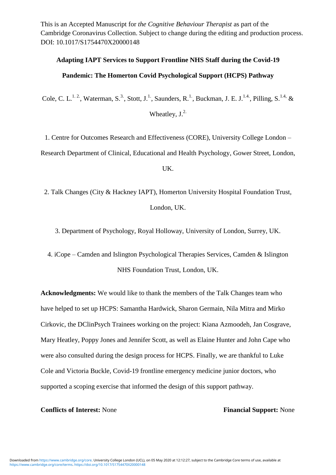This is an Accepted Manuscript for *the Cognitive Behaviour Therapist* as part of the Cambridge Coronavirus Collection. Subject to change during the editing and production process. DOI: 10.1017/S1754470X20000148

### **Adapting IAPT Services to Support Frontline NHS Staff during the Covid-19**

### **Pandemic: The Homerton Covid Psychological Support (HCPS) Pathway**

Cole, C. L.<sup>1.2</sup>, Waterman, S.<sup>3</sup>, Stott, J.<sup>1</sup>, Saunders, R.<sup>1</sup>, Buckman, J. E. J.<sup>1.4</sup>, Pilling, S.<sup>1.4,</sup> &

Wheatley,  $J^{2}$ .

1. Centre for Outcomes Research and Effectiveness (CORE), University College London –

Research Department of Clinical, Educational and Health Psychology, Gower Street, London,

#### UK.

2. Talk Changes (City & Hackney IAPT), Homerton University Hospital Foundation Trust, London, UK.

3. Department of Psychology, Royal Holloway, University of London, Surrey, UK.

4. iCope – Camden and Islington Psychological Therapies Services, Camden & Islington NHS Foundation Trust, London, UK.

**Acknowledgments:** We would like to thank the members of the Talk Changes team who have helped to set up HCPS: Samantha Hardwick, Sharon Germain, Nila Mitra and Mirko Cirkovic, the DClinPsych Trainees working on the project: Kiana Azmoodeh, Jan Cosgrave, Mary Heatley, Poppy Jones and Jennifer Scott, as well as Elaine Hunter and John Cape who were also consulted during the design process for HCPS. Finally, we are thankful to Luke Cole and Victoria Buckle, Covid-19 frontline emergency medicine junior doctors, who supported a scoping exercise that informed the design of this support pathway.

### **Conflicts of Interest:** None **Financial Support:** None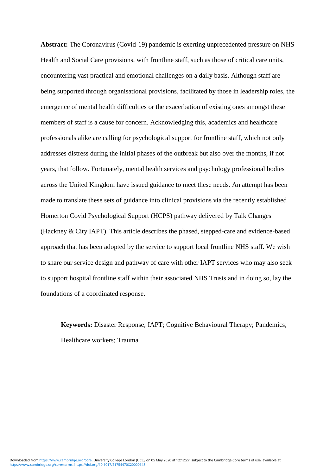**Abstract:** The Coronavirus (Covid-19) pandemic is exerting unprecedented pressure on NHS Health and Social Care provisions, with frontline staff, such as those of critical care units, encountering vast practical and emotional challenges on a daily basis. Although staff are being supported through organisational provisions, facilitated by those in leadership roles, the emergence of mental health difficulties or the exacerbation of existing ones amongst these members of staff is a cause for concern. Acknowledging this, academics and healthcare professionals alike are calling for psychological support for frontline staff, which not only addresses distress during the initial phases of the outbreak but also over the months, if not years, that follow. Fortunately, mental health services and psychology professional bodies across the United Kingdom have issued guidance to meet these needs. An attempt has been made to translate these sets of guidance into clinical provisions via the recently established Homerton Covid Psychological Support (HCPS) pathway delivered by Talk Changes (Hackney & City IAPT). This article describes the phased, stepped-care and evidence-based approach that has been adopted by the service to support local frontline NHS staff. We wish to share our service design and pathway of care with other IAPT services who may also seek to support hospital frontline staff within their associated NHS Trusts and in doing so, lay the foundations of a coordinated response.

**Keywords:** Disaster Response; IAPT; Cognitive Behavioural Therapy; Pandemics; Healthcare workers; Trauma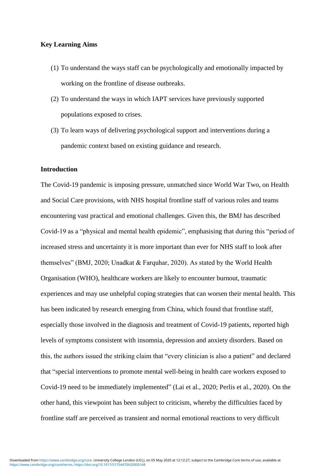#### **Key Learning Aims**

- (1) To understand the ways staff can be psychologically and emotionally impacted by working on the frontline of disease outbreaks.
- (2) To understand the ways in which IAPT services have previously supported populations exposed to crises.
- (3) To learn ways of delivering psychological support and interventions during a pandemic context based on existing guidance and research.

### **Introduction**

The Covid-19 pandemic is imposing pressure, unmatched since World War Two, on Health and Social Care provisions, with NHS hospital frontline staff of various roles and teams encountering vast practical and emotional challenges. Given this, the BMJ has described Covid-19 as a "physical and mental health epidemic", emphasising that during this "period of increased stress and uncertainty it is more important than ever for NHS staff to look after themselves" (BMJ, 2020; Unadkat & Farquhar, 2020). As stated by the World Health Organisation (WHO), healthcare workers are likely to encounter burnout, traumatic experiences and may use unhelpful coping strategies that can worsen their mental health. This has been indicated by research emerging from China, which found that frontline staff, especially those involved in the diagnosis and treatment of Covid-19 patients, reported high levels of symptoms consistent with insomnia, depression and anxiety disorders. Based on this, the authors issued the striking claim that "every clinician is also a patient" and declared that "special interventions to promote mental well-being in health care workers exposed to Covid-19 need to be immediately implemented" (Lai et al., 2020; Perlis et al., 2020). On the other hand, this viewpoint has been subject to criticism, whereby the difficulties faced by frontline staff are perceived as transient and normal emotional reactions to very difficult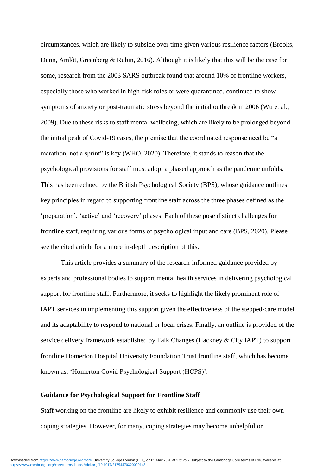circumstances, which are likely to subside over time given various resilience factors (Brooks, Dunn, Amlôt, Greenberg & Rubin, 2016). Although it is likely that this will be the case for some, research from the 2003 SARS outbreak found that around 10% of frontline workers, especially those who worked in high-risk roles or were quarantined, continued to show symptoms of anxiety or post-traumatic stress beyond the initial outbreak in 2006 (Wu et al., 2009). Due to these risks to staff mental wellbeing, which are likely to be prolonged beyond the initial peak of Covid-19 cases, the premise that the coordinated response need be "a marathon, not a sprint" is key (WHO, 2020). Therefore, it stands to reason that the psychological provisions for staff must adopt a phased approach as the pandemic unfolds. This has been echoed by the British Psychological Society (BPS), whose guidance outlines key principles in regard to supporting frontline staff across the three phases defined as the 'preparation', 'active' and 'recovery' phases. Each of these pose distinct challenges for frontline staff, requiring various forms of psychological input and care (BPS, 2020). Please see the cited article for a more in-depth description of this.

This article provides a summary of the research-informed guidance provided by experts and professional bodies to support mental health services in delivering psychological support for frontline staff. Furthermore, it seeks to highlight the likely prominent role of IAPT services in implementing this support given the effectiveness of the stepped-care model and its adaptability to respond to national or local crises. Finally, an outline is provided of the service delivery framework established by Talk Changes (Hackney & City IAPT) to support frontline Homerton Hospital University Foundation Trust frontline staff, which has become known as: 'Homerton Covid Psychological Support (HCPS)'.

#### **Guidance for Psychological Support for Frontline Staff**

Staff working on the frontline are likely to exhibit resilience and commonly use their own coping strategies. However, for many, coping strategies may become unhelpful or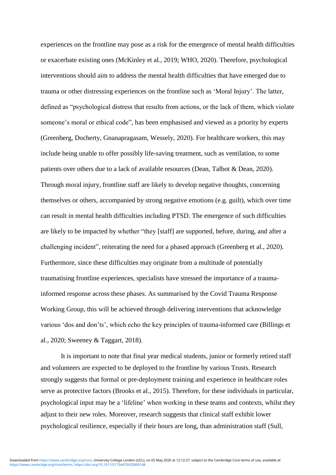experiences on the frontline may pose as a risk for the emergence of mental health difficulties or exacerbate existing ones (McKinley et al., 2019; WHO, 2020). Therefore, psychological interventions should aim to address the mental health difficulties that have emerged due to trauma or other distressing experiences on the frontline such as 'Moral Injury'. The latter, defined as "psychological distress that results from actions, or the lack of them, which violate someone's moral or ethical code", has been emphasised and viewed as a priority by experts (Greenberg, Docherty, Gnanapragasam, Wessely, 2020). For healthcare workers, this may include being unable to offer possibly life-saving treatment, such as ventilation, to some patients over others due to a lack of available resources (Dean, Talbot & Dean, 2020). Through moral injury, frontline staff are likely to develop negative thoughts, concerning themselves or others, accompanied by strong negative emotions (e.g. guilt), which over time can result in mental health difficulties including PTSD. The emergence of such difficulties are likely to be impacted by whether "they [staff] are supported, before, during, and after a challenging incident", reiterating the need for a phased approach (Greenberg et al., 2020). Furthermore, since these difficulties may originate from a multitude of potentially traumatising frontline experiences, specialists have stressed the importance of a traumainformed response across these phases. As summarised by the Covid Trauma Response Working Group, this will be achieved through delivering interventions that acknowledge various 'dos and don'ts', which echo the key principles of trauma-informed care (Billings et al., 2020; Sweeney & Taggart, 2018).

It is important to note that final year medical students, junior or formerly retired staff and volunteers are expected to be deployed to the frontline by various Trusts. Research strongly suggests that formal or pre-deployment training and experience in healthcare roles serve as protective factors (Brooks et al., 2015). Therefore, for these individuals in particular, psychological input may be a 'lifeline' when working in these teams and contexts, whilst they adjust to their new roles. Moreover, research suggests that clinical staff exhibit lower psychological resilience, especially if their hours are long, than administration staff (Sull,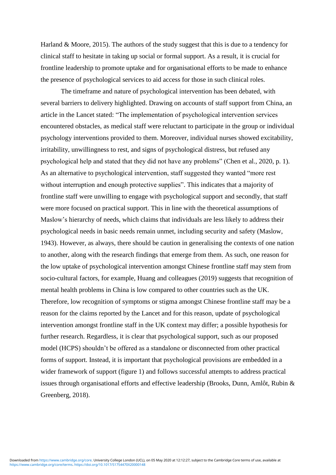Harland & Moore, 2015). The authors of the study suggest that this is due to a tendency for clinical staff to hesitate in taking up social or formal support. As a result, it is crucial for frontline leadership to promote uptake and for organisational efforts to be made to enhance the presence of psychological services to aid access for those in such clinical roles.

The timeframe and nature of psychological intervention has been debated, with several barriers to delivery highlighted. Drawing on accounts of staff support from China, an article in the Lancet stated: "The implementation of psychological intervention services encountered obstacles, as medical staff were reluctant to participate in the group or individual psychology interventions provided to them. Moreover, individual nurses showed excitability, irritability, unwillingness to rest, and signs of psychological distress, but refused any psychological help and stated that they did not have any problems" (Chen et al., 2020, p. 1). As an alternative to psychological intervention, staff suggested they wanted "more rest without interruption and enough protective supplies". This indicates that a majority of frontline staff were unwilling to engage with psychological support and secondly, that staff were more focused on practical support. This in line with the theoretical assumptions of Maslow's hierarchy of needs, which claims that individuals are less likely to address their psychological needs in basic needs remain unmet, including security and safety (Maslow, 1943). However, as always, there should be caution in generalising the contexts of one nation to another, along with the research findings that emerge from them. As such, one reason for the low uptake of psychological intervention amongst Chinese frontline staff may stem from socio-cultural factors, for example, Huang and colleagues (2019) suggests that recognition of mental health problems in China is low compared to other countries such as the UK. Therefore, low recognition of symptoms or stigma amongst Chinese frontline staff may be a reason for the claims reported by the Lancet and for this reason, update of psychological intervention amongst frontline staff in the UK context may differ; a possible hypothesis for further research. Regardless, it is clear that psychological support, such as our proposed model (HCPS) shouldn't be offered as a standalone or disconnected from other practical forms of support. Instead, it is important that psychological provisions are embedded in a wider framework of support (figure 1) and follows successful attempts to address practical issues through organisational efforts and effective leadership (Brooks, Dunn, Amlôt, Rubin & Greenberg, 2018).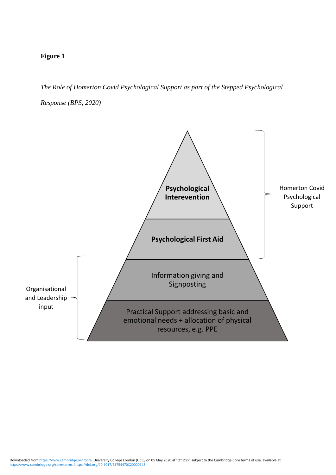# **Figure 1**

*The Role of Homerton Covid Psychological Support as part of the Stepped Psychological* 

*Response (BPS, 2020)*

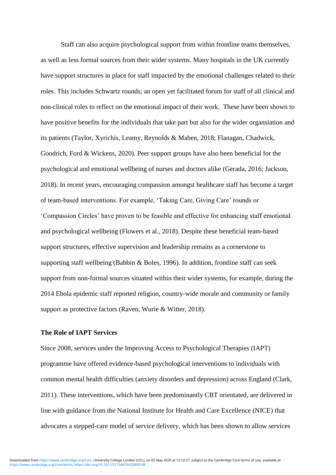Staff can also acquire psychological support from within frontline teams themselves, as well as less formal sources from their wider systems. Many hospitals in the UK currently have support structures in place for staff impacted by the emotional challenges related to their roles. This includes Schwartz rounds; an open yet facilitated forum for staff of all clinical and non-clinical roles to reflect on the emotional impact of their work. These have been shown to have positive benefits for the individuals that take part but also for the wider organsiation and its patients (Taylor, Xyrichis, Leamy, Reynolds & Maben, 2018; Flanagan, Chadwick, Goodrich, Ford & Wickens, 2020). Peer support groups have also been beneficial for the psychological and emotional wellbeing of nurses and doctors alike (Gerada, 2016; Jackson, 2018). In recent years, encouraging compassion amongst healthcare staff has become a target of team-based interventions. For example, 'Taking Care, Giving Care' rounds or 'Compassion Circles' have proven to be feasible and effective for enhancing staff emotional and psychological wellbeing (Flowers et al., 2018). Despite these beneficial team-based support structures, effective supervision and leadership remains as a cornerstone to supporting staff wellbeing (Babbin & Boles, 1996). In addition, frontline staff can seek support from non-formal sources situated within their wider systems, for example, during the 2014 Ebola epidemic staff reported religion, country-wide morale and community or family support as protective factors (Raven, Wurie & Witter, 2018).

#### **The Role of IAPT Services**

Since 2008, services under the Improving Access to Psychological Therapies (IAPT) programme have offered evidence-based psychological interventions to individuals with common mental health difficulties (anxiety disorders and depression) across England (Clark, 2011). These interventions, which have been predominantly CBT orientated, are delivered in line with guidance from the National Institute for Health and Care Excellence (NICE) that advocates a stepped-care model of service delivery, which has been shown to allow services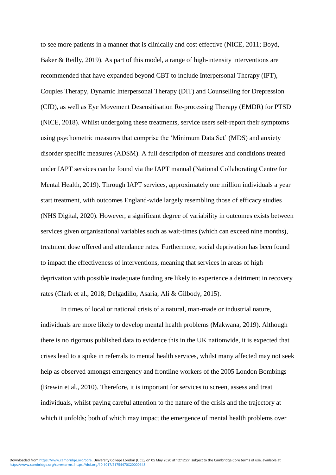to see more patients in a manner that is clinically and cost effective (NICE, 2011; Boyd, Baker & Reilly, 2019). As part of this model, a range of high-intensity interventions are recommended that have expanded beyond CBT to include Interpersonal Therapy (IPT), Couples Therapy, Dynamic Interpersonal Therapy (DIT) and Counselling for Drepression (CfD), as well as Eye Movement Desensitisation Re-processing Therapy (EMDR) for PTSD (NICE, 2018). Whilst undergoing these treatments, service users self-report their symptoms using psychometric measures that comprise the 'Minimum Data Set' (MDS) and anxiety disorder specific measures (ADSM). A full description of measures and conditions treated under IAPT services can be found via the IAPT manual (National Collaborating Centre for Mental Health, 2019). Through IAPT services, approximately one million individuals a year start treatment, with outcomes England-wide largely resembling those of efficacy studies (NHS Digital, 2020). However, a significant degree of variability in outcomes exists between services given organisational variables such as wait-times (which can exceed nine months), treatment dose offered and attendance rates. Furthermore, social deprivation has been found to impact the effectiveness of interventions, meaning that services in areas of high deprivation with possible inadequate funding are likely to experience a detriment in recovery rates (Clark et al., 2018; Delgadillo, Asaria, Ali & Gilbody, 2015).

In times of local or national crisis of a natural, man-made or industrial nature, individuals are more likely to develop mental health problems (Makwana, 2019). Although there is no rigorous published data to evidence this in the UK nationwide, it is expected that crises lead to a spike in referrals to mental health services, whilst many affected may not seek help as observed amongst emergency and frontline workers of the 2005 London Bombings (Brewin et al., 2010). Therefore, it is important for services to screen, assess and treat individuals, whilst paying careful attention to the nature of the crisis and the trajectory at which it unfolds; both of which may impact the emergence of mental health problems over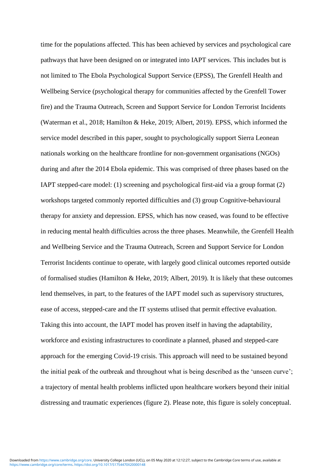time for the populations affected. This has been achieved by services and psychological care pathways that have been designed on or integrated into IAPT services. This includes but is not limited to The Ebola Psychological Support Service (EPSS), The Grenfell Health and Wellbeing Service (psychological therapy for communities affected by the Grenfell Tower fire) and the Trauma Outreach, Screen and Support Service for London Terrorist Incidents (Waterman et al., 2018; Hamilton & Heke, 2019; Albert, 2019). EPSS, which informed the service model described in this paper, sought to psychologically support Sierra Leonean nationals working on the healthcare frontline for non-government organisations (NGOs) during and after the 2014 Ebola epidemic. This was comprised of three phases based on the IAPT stepped-care model: (1) screening and psychological first-aid via a group format (2) workshops targeted commonly reported difficulties and (3) group Cognitive-behavioural therapy for anxiety and depression. EPSS, which has now ceased, was found to be effective in reducing mental health difficulties across the three phases. Meanwhile, the Grenfell Health and Wellbeing Service and the Trauma Outreach, Screen and Support Service for London Terrorist Incidents continue to operate, with largely good clinical outcomes reported outside of formalised studies (Hamilton & Heke, 2019; Albert, 2019). It is likely that these outcomes lend themselves, in part, to the features of the IAPT model such as supervisory structures, ease of access, stepped-care and the IT systems utlised that permit effective evaluation. Taking this into account, the IAPT model has proven itself in having the adaptability, workforce and existing infrastructures to coordinate a planned, phased and stepped-care approach for the emerging Covid-19 crisis. This approach will need to be sustained beyond the initial peak of the outbreak and throughout what is being described as the 'unseen curve'; a trajectory of mental health problems inflicted upon healthcare workers beyond their initial distressing and traumatic experiences (figure 2). Please note, this figure is solely conceptual.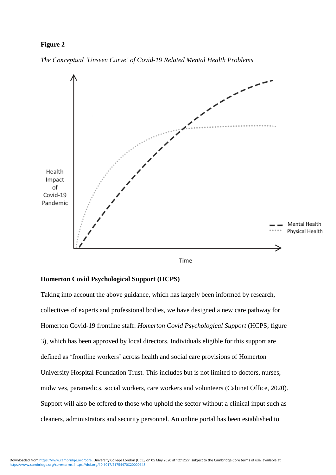### **Figure 2**

*The Conceptual 'Unseen Curve' of Covid-19 Related Mental Health Problems*



Time

#### **Homerton Covid Psychological Support (HCPS)**

Taking into account the above guidance, which has largely been informed by research, collectives of experts and professional bodies, we have designed a new care pathway for Homerton Covid-19 frontline staff: *Homerton Covid Psychological Support* (HCPS; figure 3), which has been approved by local directors. Individuals eligible for this support are defined as 'frontline workers' across health and social care provisions of Homerton University Hospital Foundation Trust. This includes but is not limited to doctors, nurses, midwives, paramedics, social workers, care workers and volunteers (Cabinet Office, 2020). Support will also be offered to those who uphold the sector without a clinical input such as cleaners, administrators and security personnel. An online portal has been established to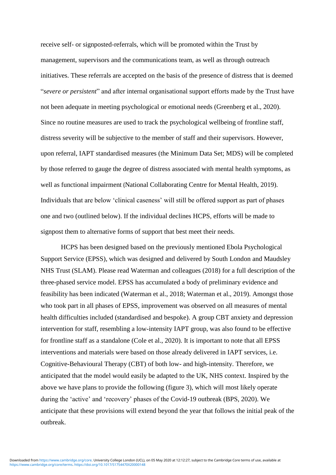receive self- or signposted-referrals, which will be promoted within the Trust by management, supervisors and the communications team, as well as through outreach initiatives. These referrals are accepted on the basis of the presence of distress that is deemed "*severe or persistent*" and after internal organisational support efforts made by the Trust have not been adequate in meeting psychological or emotional needs (Greenberg et al., 2020). Since no routine measures are used to track the psychological wellbeing of frontline staff, distress severity will be subjective to the member of staff and their supervisors. However, upon referral, IAPT standardised measures (the Minimum Data Set; MDS) will be completed by those referred to gauge the degree of distress associated with mental health symptoms, as well as functional impairment (National Collaborating Centre for Mental Health, 2019). Individuals that are below 'clinical caseness' will still be offered support as part of phases one and two (outlined below). If the individual declines HCPS, efforts will be made to signpost them to alternative forms of support that best meet their needs.

HCPS has been designed based on the previously mentioned Ebola Psychological Support Service (EPSS), which was designed and delivered by South London and Maudsley NHS Trust (SLAM). Please read Waterman and colleagues (2018) for a full description of the three-phased service model. EPSS has accumulated a body of preliminary evidence and feasibility has been indicated (Waterman et al., 2018; Waterman et al., 2019). Amongst those who took part in all phases of EPSS, improvement was observed on all measures of mental health difficulties included (standardised and bespoke). A group CBT anxiety and depression intervention for staff, resembling a low-intensity IAPT group, was also found to be effective for frontline staff as a standalone (Cole et al., 2020). It is important to note that all EPSS interventions and materials were based on those already delivered in IAPT services, i.e. Cognitive-Behavioural Therapy (CBT) of both low- and high-intensity. Therefore, we anticipated that the model would easily be adapted to the UK, NHS context. Inspired by the above we have plans to provide the following (figure 3), which will most likely operate during the 'active' and 'recovery' phases of the Covid-19 outbreak (BPS, 2020). We anticipate that these provisions will extend beyond the year that follows the initial peak of the outbreak.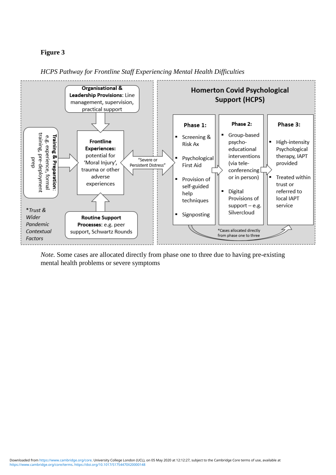## **Figure 3**



*HCPS Pathway for Frontline Staff Experiencing Mental Health Difficulties*

*Note.* Some cases are allocated directly from phase one to three due to having pre-existing mental health problems or severe symptoms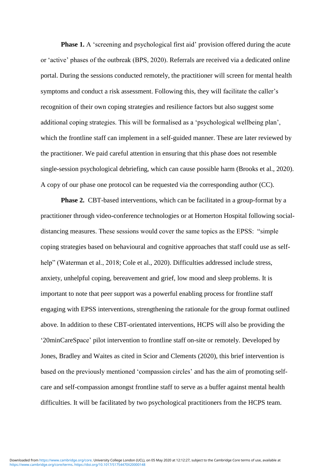**Phase 1.** A 'screening and psychological first aid' provision offered during the acute or 'active' phases of the outbreak (BPS, 2020). Referrals are received via a dedicated online portal. During the sessions conducted remotely, the practitioner will screen for mental health symptoms and conduct a risk assessment. Following this, they will facilitate the caller's recognition of their own coping strategies and resilience factors but also suggest some additional coping strategies. This will be formalised as a 'psychological wellbeing plan', which the frontline staff can implement in a self-guided manner. These are later reviewed by the practitioner. We paid careful attention in ensuring that this phase does not resemble single-session psychological debriefing, which can cause possible harm (Brooks et al., 2020). A copy of our phase one protocol can be requested via the corresponding author (CC).

**Phase 2.** CBT-based interventions, which can be facilitated in a group-format by a practitioner through video-conference technologies or at Homerton Hospital following socialdistancing measures. These sessions would cover the same topics as the EPSS: "simple coping strategies based on behavioural and cognitive approaches that staff could use as selfhelp" (Waterman et al., 2018; Cole et al., 2020). Difficulties addressed include stress, anxiety, unhelpful coping, bereavement and grief, low mood and sleep problems. It is important to note that peer support was a powerful enabling process for frontline staff engaging with EPSS interventions, strengthening the rationale for the group format outlined above. In addition to these CBT-orientated interventions, HCPS will also be providing the '20minCareSpace' pilot intervention to frontline staff on-site or remotely. Developed by Jones, Bradley and Waites as cited in Scior and Clements (2020), this brief intervention is based on the previously mentioned 'compassion circles' and has the aim of promoting selfcare and self-compassion amongst frontline staff to serve as a buffer against mental health difficulties. It will be facilitated by two psychological practitioners from the HCPS team.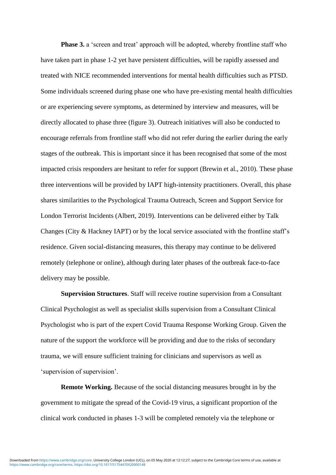**Phase 3.** a 'screen and treat' approach will be adopted, whereby frontline staff who have taken part in phase 1-2 yet have persistent difficulties, will be rapidly assessed and treated with NICE recommended interventions for mental health difficulties such as PTSD. Some individuals screened during phase one who have pre-existing mental health difficulties or are experiencing severe symptoms, as determined by interview and measures, will be directly allocated to phase three (figure 3). Outreach initiatives will also be conducted to encourage referrals from frontline staff who did not refer during the earlier during the early stages of the outbreak. This is important since it has been recognised that some of the most impacted crisis responders are hesitant to refer for support (Brewin et al., 2010). These phase three interventions will be provided by IAPT high-intensity practitioners. Overall, this phase shares similarities to the Psychological Trauma Outreach, Screen and Support Service for London Terrorist Incidents (Albert, 2019). Interventions can be delivered either by Talk Changes (City & Hackney IAPT) or by the local service associated with the frontline staff's residence. Given social-distancing measures, this therapy may continue to be delivered remotely (telephone or online), although during later phases of the outbreak face-to-face delivery may be possible.

**Supervision Structures**. Staff will receive routine supervision from a Consultant Clinical Psychologist as well as specialist skills supervision from a Consultant Clinical Psychologist who is part of the expert Covid Trauma Response Working Group. Given the nature of the support the workforce will be providing and due to the risks of secondary trauma, we will ensure sufficient training for clinicians and supervisors as well as 'supervision of supervision'.

**Remote Working.** Because of the social distancing measures brought in by the government to mitigate the spread of the Covid-19 virus, a significant proportion of the clinical work conducted in phases 1-3 will be completed remotely via the telephone or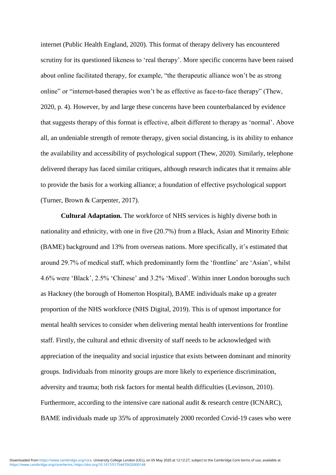internet (Public Health England, 2020). This format of therapy delivery has encountered scrutiny for its questioned likeness to 'real therapy'. More specific concerns have been raised about online facilitated therapy, for example, "the therapeutic alliance won't be as strong online" or "internet-based therapies won't be as effective as face-to-face therapy" (Thew, 2020, p. 4). However, by and large these concerns have been counterbalanced by evidence that suggests therapy of this format is effective, albeit different to therapy as 'normal'. Above all, an undeniable strength of remote therapy, given social distancing, is its ability to enhance the availability and accessibility of psychological support (Thew, 2020). Similarly, telephone delivered therapy has faced similar critiques, although research indicates that it remains able to provide the basis for a working alliance; a foundation of effective psychological support (Turner, Brown & Carpenter, 2017).

**Cultural Adaptation.** The workforce of NHS services is highly diverse both in nationality and ethnicity, with one in five (20.7%) from a Black, Asian and Minority Ethnic (BAME) background and 13% from overseas nations. More specifically, it's estimated that around 29.7% of medical staff, which predominantly form the 'frontline' are 'Asian', whilst 4.6% were 'Black', 2.5% 'Chinese' and 3.2% 'Mixed'. Within inner London boroughs such as Hackney (the borough of Homerton Hospital), BAME individuals make up a greater proportion of the NHS workforce (NHS Digital, 2019). This is of upmost importance for mental health services to consider when delivering mental health interventions for frontline staff. Firstly, the cultural and ethnic diversity of staff needs to be acknowledged with appreciation of the inequality and social injustice that exists between dominant and minority groups. Individuals from minority groups are more likely to experience discrimination, adversity and trauma; both risk factors for mental health difficulties (Levinson, 2010). Furthermore, according to the intensive care national audit & research centre (ICNARC), BAME individuals made up 35% of approximately 2000 recorded Covid-19 cases who were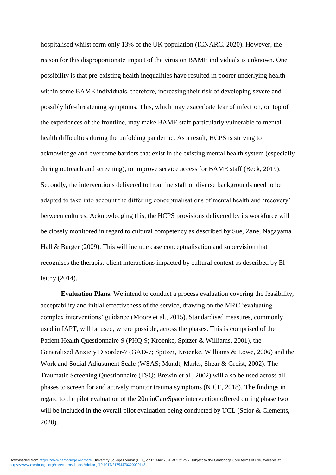hospitalised whilst form only 13% of the UK population (ICNARC, 2020). However, the reason for this disproportionate impact of the virus on BAME individuals is unknown. One possibility is that pre-existing health inequalities have resulted in poorer underlying health within some BAME individuals, therefore, increasing their risk of developing severe and possibly life-threatening symptoms. This, which may exacerbate fear of infection, on top of the experiences of the frontline, may make BAME staff particularly vulnerable to mental health difficulties during the unfolding pandemic. As a result, HCPS is striving to acknowledge and overcome barriers that exist in the existing mental health system (especially during outreach and screening), to improve service access for BAME staff (Beck, 2019). Secondly, the interventions delivered to frontline staff of diverse backgrounds need to be adapted to take into account the differing conceptualisations of mental health and 'recovery' between cultures. Acknowledging this, the HCPS provisions delivered by its workforce will be closely monitored in regard to cultural competency as described by Sue, Zane, Nagayama Hall & Burger (2009). This will include case conceptualisation and supervision that recognises the therapist-client interactions impacted by cultural context as described by Elleithy (2014).

**Evaluation Plans.** We intend to conduct a process evaluation covering the feasibility, acceptability and initial effectiveness of the service, drawing on the MRC 'evaluating complex interventions' guidance (Moore et al., 2015). Standardised measures, commonly used in IAPT, will be used, where possible, across the phases. This is comprised of the Patient Health Questionnaire-9 (PHQ-9; Kroenke, Spitzer & Williams, 2001), the Generalised Anxiety Disorder-7 (GAD-7; Spitzer, Kroenke, Williams & Lowe, 2006) and the Work and Social Adjustment Scale (WSAS; Mundt, Marks, Shear & Greist, 2002). The Traumatic Screening Questionnaire (TSQ; Brewin et al., 2002) will also be used across all phases to screen for and actively monitor trauma symptoms (NICE, 2018). The findings in regard to the pilot evaluation of the 20minCareSpace intervention offered during phase two will be included in the overall pilot evaluation being conducted by UCL (Scior & Clements, 2020).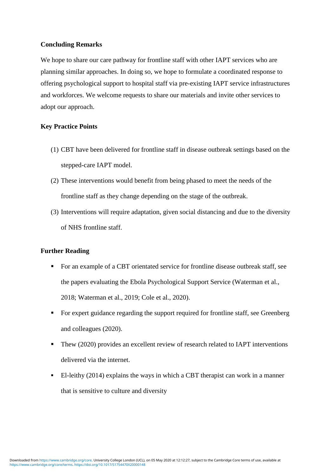### **Concluding Remarks**

We hope to share our care pathway for frontline staff with other IAPT services who are planning similar approaches. In doing so, we hope to formulate a coordinated response to offering psychological support to hospital staff via pre-existing IAPT service infrastructures and workforces. We welcome requests to share our materials and invite other services to adopt our approach.

### **Key Practice Points**

- (1) CBT have been delivered for frontline staff in disease outbreak settings based on the stepped-care IAPT model.
- (2) These interventions would benefit from being phased to meet the needs of the frontline staff as they change depending on the stage of the outbreak.
- (3) Interventions will require adaptation, given social distancing and due to the diversity of NHS frontline staff.

### **Further Reading**

- For an example of a CBT orientated service for frontline disease outbreak staff, see the papers evaluating the Ebola Psychological Support Service (Waterman et al., 2018; Waterman et al., 2019; Cole et al., 2020).
- For expert guidance regarding the support required for frontline staff, see Greenberg and colleagues (2020).
- Thew (2020) provides an excellent review of research related to IAPT interventions delivered via the internet.
- El-leithy (2014) explains the ways in which a CBT therapist can work in a manner that is sensitive to culture and diversity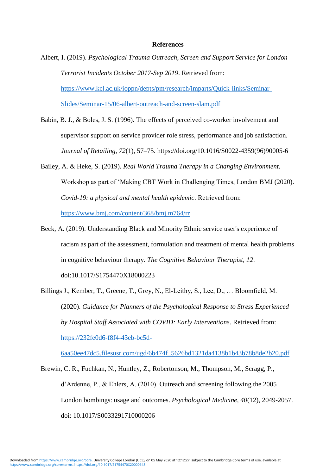#### **References**

- Albert, I. (2019). *Psychological Trauma Outreach, Screen and Support Service for London Terrorist Incidents October 2017-Sep 2019*. Retrieved from: [https://www.kcl.ac.uk/ioppn/depts/pm/research/imparts/Quick-links/Seminar-](https://www.kcl.ac.uk/ioppn/depts/pm/research/imparts/Quick-links/Seminar-Slides/Seminar-15/06-albert-outreach-and-screen-slam.pdf)[Slides/Seminar-15/06-albert-outreach-and-screen-slam.pdf](https://www.kcl.ac.uk/ioppn/depts/pm/research/imparts/Quick-links/Seminar-Slides/Seminar-15/06-albert-outreach-and-screen-slam.pdf)
- Babin, B. J., & Boles, J. S. (1996). The effects of perceived co-worker involvement and supervisor support on service provider role stress, performance and job satisfaction. *Journal of Retailing, 72*(1), 57–75. https://doi.org/10.1016/S0022-4359(96)90005-6
- Bailey, A. & Heke, S. (2019). *Real World Trauma Therapy in a Changing Environment*. Workshop as part of 'Making CBT Work in Challenging Times, London BMJ (2020). *Covid-19: a physical and mental health epidemic*. Retrieved from: <https://www.bmj.com/content/368/bmj.m764/rr>
- Beck, A. (2019). Understanding Black and Minority Ethnic service user's experience of racism as part of the assessment, formulation and treatment of mental health problems in cognitive behaviour therapy. *The Cognitive Behaviour Therapist, 12*. doi:10.1017/S1754470X18000223
- Billings J., Kember, T., Greene, T., Grey, N., El-Leithy, S., Lee, D., … Bloomfield, M. (2020). *Guidance for Planners of the Psychological Response to Stress Experienced by Hospital Staff Associated with COVID: Early Interventions*. Retrieved from: [https://232fe0d6-f8f4-43eb-bc5d-](https://232fe0d6-f8f4-43eb-bc5d-6aa50ee47dc5.filesusr.com/ugd/6b474f_5626bd1321da4138b1b43b78b8de2b20.pdf)

[6aa50ee47dc5.filesusr.com/ugd/6b474f\\_5626bd1321da4138b1b43b78b8de2b20.pdf](https://232fe0d6-f8f4-43eb-bc5d-6aa50ee47dc5.filesusr.com/ugd/6b474f_5626bd1321da4138b1b43b78b8de2b20.pdf)

Brewin, C. R., Fuchkan, N., Huntley, Z., Robertonson, M., Thompson, M., Scragg, P., d'Ardenne, P., & Ehlers, A. (2010). Outreach and screening following the 2005 London bombings: usage and outcomes. *Psychological Medicine, 40*(12), 2049-2057. doi: 10.1017/S0033291710000206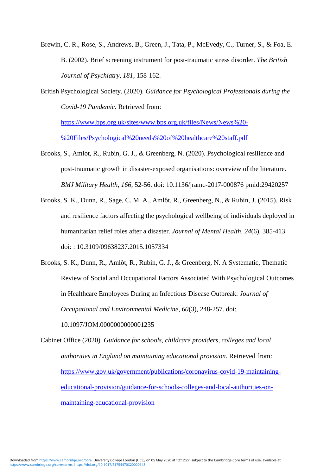Brewin, C. R., Rose, S., Andrews, B., Green, J., Tata, P., McEvedy, C., Turner, S., & Foa, E. B. (2002). Brief screening instrument for post-traumatic stress disorder. *The British Journal of Psychiatry, 181*, 158-162.

British Psychological Society. (2020). *Guidance for Psychological Professionals during the Covid-19 Pandemic*. Retrieved from:

[https://www.bps.org.uk/sites/www.bps.org.uk/files/News/News%20-](https://www.bps.org.uk/sites/www.bps.org.uk/files/News/News%20-%20Files/Psychological%20needs%20of%20healthcare%20staff.pdf) [%20Files/Psychological%20needs%20of%20healthcare%20staff.pdf](https://www.bps.org.uk/sites/www.bps.org.uk/files/News/News%20-%20Files/Psychological%20needs%20of%20healthcare%20staff.pdf)

- Brooks, S., Amlot, R., Rubin, G. J., & Greenberg, N. (2020). Psychological resilience and post-traumatic growth in disaster-exposed organisations: overview of the literature. *BMJ Military Health*, *166*, 52-56. doi: 10.1136/jramc-2017-000876 pmid:29420257
- Brooks, S. K., Dunn, R., Sage, C. M. A., Amlôt, R., Greenberg, N., & Rubin, J. (2015). Risk and resilience factors affecting the psychological wellbeing of individuals deployed in humanitarian relief roles after a disaster. *Journal of Mental Health, 24*(6), 385-413. doi: : 10.3109/09638237.2015.1057334
- Brooks, S. K., Dunn, R., Amlôt, R., Rubin, G. J., & Greenberg, N. A Systematic, Thematic Review of Social and Occupational Factors Associated With Psychological Outcomes in Healthcare Employees During an Infectious Disease Outbreak. *Journal of Occupational and Environmental Medicine, 60*(3), 248-257. doi:

10.1097/JOM.0000000000001235

Cabinet Office (2020). *Guidance for schools, childcare providers, colleges and local authorities in England on maintaining educational provision*. Retrieved from: [https://www.gov.uk/government/publications/coronavirus-covid-19-maintaining](https://www.gov.uk/government/publications/coronavirus-covid-19-maintaining-educational-provision/guidance-for-schools-colleges-and-local-authorities-on-maintaining-educational-provision)[educational-provision/guidance-for-schools-colleges-and-local-authorities-on](https://www.gov.uk/government/publications/coronavirus-covid-19-maintaining-educational-provision/guidance-for-schools-colleges-and-local-authorities-on-maintaining-educational-provision)[maintaining-educational-provision](https://www.gov.uk/government/publications/coronavirus-covid-19-maintaining-educational-provision/guidance-for-schools-colleges-and-local-authorities-on-maintaining-educational-provision)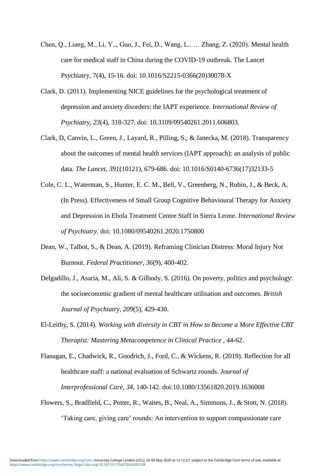- Chen, Q., Liang, M., Li, Y.., Guo, J., Fei, D., Wang, L.. … Zhang, Z. (2020). Mental health care for medical staff in China during the COVID-19 outbreak. The Lancet Psychiatry, 7(4), 15-16. doi: 10.1016/S2215-0366(20)30078-X
- Clark, D. (2011). Implementing NICE guidelines for the psychological treatment of depression and anxiety disorders: the IAPT experience. *International Review of Psychiatry, 23*(4), 318-327. doi: 10.3109/09540261.2011.606803.
- Clark, D, Canvin, L., Green, J., Layard, R., Pilling, S., & Janecka, M. (2018). Transparency about the outcomes of mental health services (IAPT approach): an analysis of public data. *The Lancet, 391*(10121), 679-686. doi: 10.1016/S0140-6736(17)32133-5
- Cole, C. L., Waterman, S., Hunter, E. C. M., Bell, V., Greenberg, N., Rubin, J., & Beck, A. (In Press). Effectiveness of Small Group Cognitive Behavioural Therapy for Anxiety and Depression in Ebola Treatment Centre Staff in Sierra Leone. *International Review of Psychiatry.* doi: 10.1080/09540261.2020.1750800
- Dean, W., Talbot, S., & Dean, A. (2019). Reframing Clinician Distress: Moral Injury Not Burnout. *Federal Practitioner, 36*(9), 400-402.
- Delgadillo, J., Asaria, M., Ali, S. & Gilbody, S. (2016). On poverty, politics and psychology: the socioeconomic gradient of mental healthcare utilisation and outcomes. *British Journal of Psychiatry, 209*(5), 429-430.
- El-Leithy, S. (2014). *Working with diversity in CBT in How to Become a More Effective CBT Therapist: Mastering Metacompetence in Clinical Practice* , 44-62.
- Flanagan, E., Chadwick, R., Goodrich, J., Ford, C., & Wickens, R. (2019). Reflection for all healthcare staff: a national evaluation of Schwartz rounds. *Journal of Interprofessional Care, 34,* 140-142. doi:10.1080/13561820.2019.1636008
- Flowers, S., Bradfield, C., Potter, R., Waites, B., Neal, A., Simmons, J., & Stott, N. (2018). 'Taking care, giving care' rounds: An intervention to support compassionate care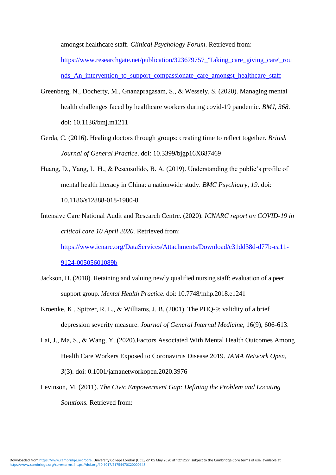amongst healthcare staff. *Clinical Psychology Forum*. Retrieved from:

https://www.researchgate.net/publication/323679757 Taking care giving care' rou [nds\\_An\\_intervention\\_to\\_support\\_compassionate\\_care\\_amongst\\_healthcare\\_staff](https://www.researchgate.net/publication/323679757_)

- Greenberg, N., Docherty, M., Gnanapragasam, S., & Wessely, S. (2020). Managing mental health challenges faced by healthcare workers during covid-19 pandemic. *BMJ, 368*. doi: 10.1136/bmj.m1211
- Gerda, C. (2016). Healing doctors through groups: creating time to reflect together. *British Journal of General Practice*. doi: 10.3399/bjgp16X687469
- Huang, D., Yang, L. H., & Pescosolido, B. A. (2019). Understanding the public's profile of mental health literacy in China: a nationwide study. *BMC Psychiatry, 19*. doi: 10.1186/s12888-018-1980-8

Intensive Care National Audit and Research Centre. (2020). *ICNARC report on COVID-19 in critical care 10 April 2020.* Retrieved from: [https://www.icnarc.org/DataServices/Attachments/Download/c31dd38d-d77b-ea11-](https://www.icnarc.org/DataServices/Attachments/Download/c31dd38d-d77b-ea11-9124-00505601089b)

[9124-00505601089b](https://www.icnarc.org/DataServices/Attachments/Download/c31dd38d-d77b-ea11-9124-00505601089b)

- Jackson, H. (2018). Retaining and valuing newly qualified nursing staff: evaluation of a peer support group. *Mental Health Practice*. doi: 10.7748/mhp.2018.e1241
- Kroenke, K., Spitzer, R. L., & Williams, J. B. (2001). The PHQ-9: validity of a brief depression severity measure. *Journal of General Internal Medicine*, 16(9), 606-613.
- Lai, J., Ma, S., & Wang, Y. (2020).Factors Associated With Mental Health Outcomes Among Health Care Workers Exposed to Coronavirus Disease 2019. *JAMA Network Open, 3*(3). doi: 0.1001/jamanetworkopen.2020.3976
- Levinson, M. (2011). *The Civic Empowerment Gap: Defining the Problem and Locating Solutions.* Retrieved from: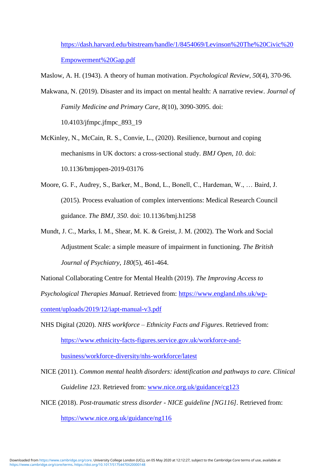[https://dash.harvard.edu/bitstream/handle/1/8454069/Levinson%20The%20Civic%20](https://dash.harvard.edu/bitstream/handle/1/8454069/Levinson%20The%20Civic%20Empowerment%20Gap.pdf) [Empowerment%20Gap.pdf](https://dash.harvard.edu/bitstream/handle/1/8454069/Levinson%20The%20Civic%20Empowerment%20Gap.pdf)

Maslow, A. H. (1943). [A theory of human motivation.](https://psychclassics.yorku.ca/Maslow/motivation.htm) *Psychological Review, 50*(4), 370-96.

- Makwana, N. (2019). Disaster and its impact on mental health: A narrative review. *Journal of Family Medicine and Primary Care, 8*(10), 3090-3095. doi: 10.4103/jfmpc.jfmpc\_893\_19
- McKinley, N., McCain, R. S., Convie, L., (2020). Resilience, burnout and coping mechanisms in UK doctors: a cross-sectional study. *BMJ Open*, *10*. doi: 10.1136/bmjopen-2019-03176
- Moore, G. F., Audrey, S., Barker, M., Bond, L., Bonell, C., Hardeman, W., … Baird, J. (2015). Process evaluation of complex interventions: Medical Research Council guidance. *The BMJ, 350*. doi: 10.1136/bmj.h1258
- Mundt, J. C., Marks, I. M., Shear, M. K. & Greist, J. M. (2002). The Work and Social Adjustment Scale: a simple measure of impairment in functioning. *The British Journal of Psychiatry*, *180*(5), 461-464.

National Collaborating Centre for Mental Health (2019). *The Improving Access to* 

*Psychological Therapies Manual*. Retrieved from: [https://www.england.nhs.uk/wp-](https://www.england.nhs.uk/wp-content/uploads/2019/12/iapt-manual-v3.pdf)

[content/uploads/2019/12/iapt-manual-v3.pdf](https://www.england.nhs.uk/wp-content/uploads/2019/12/iapt-manual-v3.pdf)

NHS Digital (2020). *NHS workforce – Ethnicity Facts and Figures*. Retrieved from: [https://www.ethnicity-facts-figures.service.gov.uk/workforce-and-](https://www.ethnicity-facts-figures.service.gov.uk/workforce-and-business/workforce-diversity/nhs-workforce/latest)

[business/workforce-diversity/nhs-workforce/latest](https://www.ethnicity-facts-figures.service.gov.uk/workforce-and-business/workforce-diversity/nhs-workforce/latest)

NICE (2011). *Common mental health disorders: identification and pathways to care. Clinical Guideline 123*. Retrieved from: [www.nice.org.uk/guidance/cg123](http://www.nice.org.uk/guidance/cg123)

NICE (2018). *Post-traumatic stress disorder - NICE guideline [NG116].* Retrieved from: <https://www.nice.org.uk/guidance/ng116>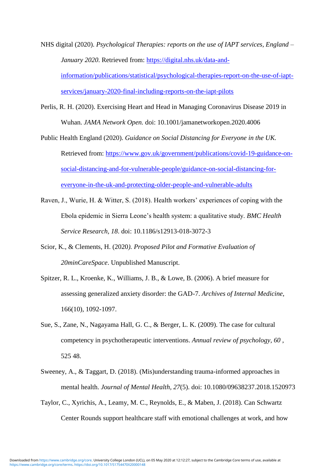NHS digital (2020). *Psychological Therapies: reports on the use of IAPT services, England – January 2020*. Retrieved from: [https://digital.nhs.uk/data-and](https://digital.nhs.uk/data-and-information/publications/statistical/psychological-therapies-report-on-the-use-of-iapt-services/january-2020-final-including-reports-on-the-iapt-pilots)[information/publications/statistical/psychological-therapies-report-on-the-use-of-iapt](https://digital.nhs.uk/data-and-information/publications/statistical/psychological-therapies-report-on-the-use-of-iapt-services/january-2020-final-including-reports-on-the-iapt-pilots)[services/january-2020-final-including-reports-on-the-iapt-pilots](https://digital.nhs.uk/data-and-information/publications/statistical/psychological-therapies-report-on-the-use-of-iapt-services/january-2020-final-including-reports-on-the-iapt-pilots)

- Perlis, R. H. (2020). Exercising Heart and Head in Managing Coronavirus Disease 2019 in Wuhan. *JAMA Network Open.* doi: 10.1001/jamanetworkopen.2020.4006
- Public Health England (2020). *Guidance on Social Distancing for Everyone in the UK.* Retrieved from: [https://www.gov.uk/government/publications/covid-19-guidance-on](https://www.gov.uk/government/publications/covid-19-guidance-on-social-distancing-and-for-vulnerable-people/guidance-on-social-distancing-for-everyone-in-the-uk-and-protecting-older-people-and-vulnerable-adults)[social-distancing-and-for-vulnerable-people/guidance-on-social-distancing-for](https://www.gov.uk/government/publications/covid-19-guidance-on-social-distancing-and-for-vulnerable-people/guidance-on-social-distancing-for-everyone-in-the-uk-and-protecting-older-people-and-vulnerable-adults)[everyone-in-the-uk-and-protecting-older-people-and-vulnerable-adults](https://www.gov.uk/government/publications/covid-19-guidance-on-social-distancing-and-for-vulnerable-people/guidance-on-social-distancing-for-everyone-in-the-uk-and-protecting-older-people-and-vulnerable-adults)
- Raven, J., Wurie, H. & Witter, S. (2018). Health workers' experiences of coping with the Ebola epidemic in Sierra Leone's health system: a qualitative study. *BMC Health Service Research, 18*. doi: 10.1186/s12913-018-3072-3
- Scior, K., & Clements, H. (2020*). Proposed Pilot and Formative Evaluation of 20minCareSpace*. Unpublished Manuscript.
- Spitzer, R. L., Kroenke, K., Williams, J. B., & Lowe, B. (2006). A brief measure for assessing generalized anxiety disorder: the GAD-7. *Archives of Internal Medicine*, 166(10), 1092-1097.
- Sue, S., Zane, N., Nagayama Hall, G. C., & Berger, L. K. (2009). The case for cultural competency in psychotherapeutic interventions. *Annual review of psychology, 60* , 525 48.
- Sweeney, A., & Taggart, D. (2018). (Mis)understanding trauma-informed approaches in mental health. *Journal of Mental Health, 27*(5). doi: 10.1080/09638237.2018.1520973
- Taylor, C., Xyrichis, A., Leamy, M. C., Reynolds, E., & Maben, J. (2018). Can Schwartz Center Rounds support healthcare staff with emotional challenges at work, and how